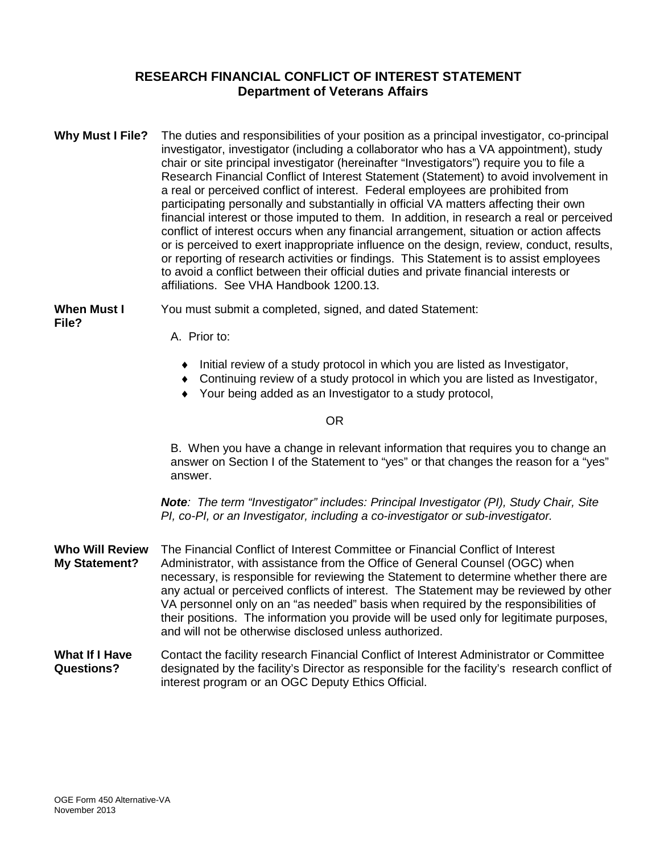### **RESEARCH FINANCIAL CONFLICT OF INTEREST STATEMENT Department of Veterans Affairs**

**Why Must I File?** The duties and responsibilities of your position as a principal investigator, co-principal investigator, investigator (including a collaborator who has a VA appointment), study chair or site principal investigator (hereinafter "Investigators") require you to file a Research Financial Conflict of Interest Statement (Statement) to avoid involvement in a real or perceived conflict of interest. Federal employees are prohibited from participating personally and substantially in official VA matters affecting their own financial interest or those imputed to them. In addition, in research a real or perceived conflict of interest occurs when any financial arrangement, situation or action affects or is perceived to exert inappropriate influence on the design, review, conduct, results, or reporting of research activities or findings. This Statement is to assist employees to avoid a conflict between their official duties and private financial interests or affiliations. See VHA Handbook 1200.13.

**When Must I** You must submit a completed, signed, and dated Statement: **File?**

- A. Prior to:
	- ♦ Initial review of a study protocol in which you are listed as Investigator,
	- ♦ Continuing review of a study protocol in which you are listed as Investigator,
	- ♦ Your being added as an Investigator to a study protocol,

#### OR

B. When you have a change in relevant information that requires you to change an answer on Section I of the Statement to "yes" or that changes the reason for a "yes" answer.

*Note: The term "Investigator" includes: Principal Investigator (PI), Study Chair, Site PI, co-PI, or an Investigator, including a co-investigator or sub-investigator.* 

- **Who Will Review** The Financial Conflict of Interest Committee or Financial Conflict of Interest **My Statement?** Administrator, with assistance from the Office of General Counsel (OGC) when necessary, is responsible for reviewing the Statement to determine whether there are any actual or perceived conflicts of interest. The Statement may be reviewed by other VA personnel only on an "as needed" basis when required by the responsibilities of their positions. The information you provide will be used only for legitimate purposes, and will not be otherwise disclosed unless authorized.
- **What If I Have** Contact the facility research Financial Conflict of Interest Administrator or Committee **Questions?** designated by the facility's Director as responsible for the facility's research conflict of interest program or an OGC Deputy Ethics Official.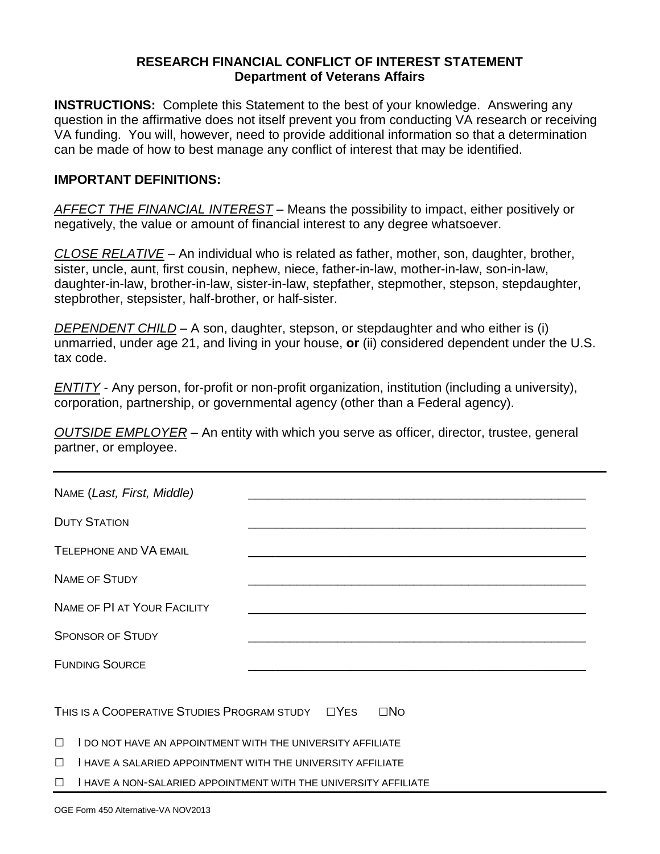### **RESEARCH FINANCIAL CONFLICT OF INTEREST STATEMENT Department of Veterans Affairs**

**INSTRUCTIONS:** Complete this Statement to the best of your knowledge. Answering any question in the affirmative does not itself prevent you from conducting VA research or receiving VA funding. You will, however, need to provide additional information so that a determination can be made of how to best manage any conflict of interest that may be identified.

### **IMPORTANT DEFINITIONS:**

*AFFECT THE FINANCIAL INTEREST* – Means the possibility to impact, either positively or negatively, the value or amount of financial interest to any degree whatsoever.

*CLOSE RELATIVE* – An individual who is related as father, mother, son, daughter, brother, sister, uncle, aunt, first cousin, nephew, niece, father-in-law, mother-in-law, son-in-law, daughter-in-law, brother-in-law, sister-in-law, stepfather, stepmother, stepson, stepdaughter, stepbrother, stepsister, half-brother, or half-sister.

*DEPENDENT CHILD* – A son, daughter, stepson, or stepdaughter and who either is (i) unmarried, under age 21, and living in your house, **or** (ii) considered dependent under the U.S. tax code.

*ENTITY* - Any person, for-profit or non-profit organization, institution (including a university), corporation, partnership, or governmental agency (other than a Federal agency).

*OUTSIDE EMPLOYER* – An entity with which you serve as officer, director, trustee, general partner, or employee.

| NAME (Last, First, Middle)                                                          |  |                                                                                                                        |  |  |
|-------------------------------------------------------------------------------------|--|------------------------------------------------------------------------------------------------------------------------|--|--|
| <b>DUTY STATION</b>                                                                 |  | <u> 1989 - Johann John Stoff, deutscher Stoffen und der Stoffen und der Stoffen und der Stoffen und der Stoffen un</u> |  |  |
| <b>TELEPHONE AND VA EMAIL</b>                                                       |  |                                                                                                                        |  |  |
| <b>NAME OF STUDY</b>                                                                |  |                                                                                                                        |  |  |
| NAME OF PI AT YOUR FACILITY                                                         |  |                                                                                                                        |  |  |
| <b>SPONSOR OF STUDY</b>                                                             |  |                                                                                                                        |  |  |
| <b>FUNDING SOURCE</b><br><u> 1989 - Johann Stoff, amerikansk politiker (* 1908)</u> |  |                                                                                                                        |  |  |
|                                                                                     |  |                                                                                                                        |  |  |
| THIS IS A COOPERATIVE STUDIES PROGRAM STUDY LYES<br>$\square$ No                    |  |                                                                                                                        |  |  |
| <b>I DO NOT HAVE AN APPOINTMENT WITH THE UNIVERSITY AFFILIATE</b><br>$\Box$         |  |                                                                                                                        |  |  |
| $\Box$<br>HAVE A SALARIED APPOINTMENT WITH THE UNIVERSITY AFFILIATE                 |  |                                                                                                                        |  |  |
| $\Box$                                                                              |  |                                                                                                                        |  |  |

**□** I HAVE A NON-SALARIED APPOINTMENT WITH THE UNIVERSITY AFFILIATE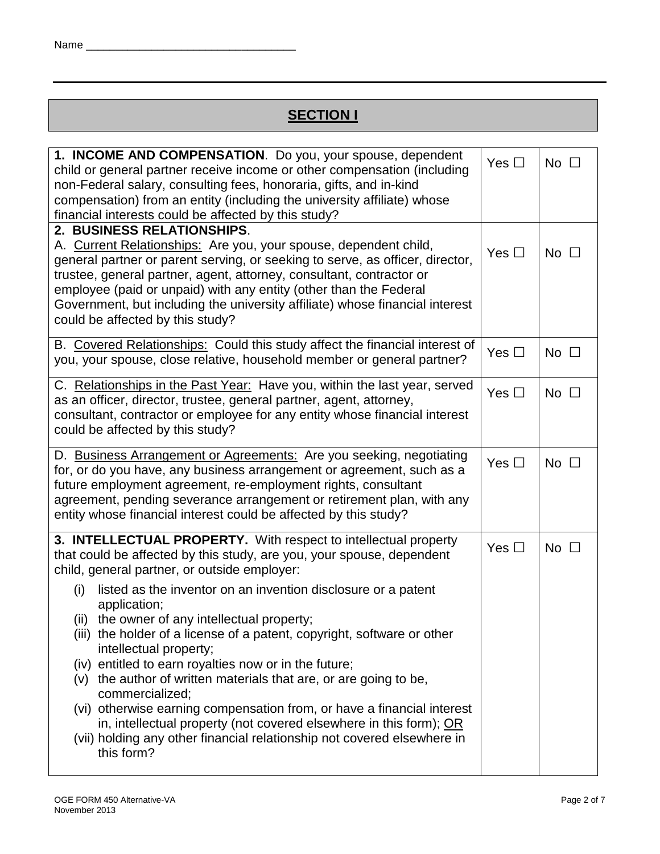# **SECTION I**

| 1. INCOME AND COMPENSATION. Do you, your spouse, dependent<br>Yes $\Box$<br>child or general partner receive income or other compensation (including<br>non-Federal salary, consulting fees, honoraria, gifts, and in-kind<br>compensation) from an entity (including the university affiliate) whose<br>financial interests could be affected by this study?                                                                                                                                                                                                                                                                       |               |              |  |  |  |
|-------------------------------------------------------------------------------------------------------------------------------------------------------------------------------------------------------------------------------------------------------------------------------------------------------------------------------------------------------------------------------------------------------------------------------------------------------------------------------------------------------------------------------------------------------------------------------------------------------------------------------------|---------------|--------------|--|--|--|
| 2. BUSINESS RELATIONSHIPS.<br>A. Current Relationships: Are you, your spouse, dependent child,<br>Yes $\Box$<br>No $\square$<br>general partner or parent serving, or seeking to serve, as officer, director,<br>trustee, general partner, agent, attorney, consultant, contractor or<br>employee (paid or unpaid) with any entity (other than the Federal<br>Government, but including the university affiliate) whose financial interest<br>could be affected by this study?                                                                                                                                                      |               |              |  |  |  |
| B. Covered Relationships: Could this study affect the financial interest of<br>you, your spouse, close relative, household member or general partner?                                                                                                                                                                                                                                                                                                                                                                                                                                                                               | Yes $\Box$    | No $\square$ |  |  |  |
| C. Relationships in the Past Year: Have you, within the last year, served<br>as an officer, director, trustee, general partner, agent, attorney,<br>consultant, contractor or employee for any entity whose financial interest<br>could be affected by this study?                                                                                                                                                                                                                                                                                                                                                                  | Yes $\Box$    | No $\square$ |  |  |  |
| D. Business Arrangement or Agreements: Are you seeking, negotiating<br>for, or do you have, any business arrangement or agreement, such as a<br>future employment agreement, re-employment rights, consultant<br>agreement, pending severance arrangement or retirement plan, with any<br>entity whose financial interest could be affected by this study?                                                                                                                                                                                                                                                                          | Yes $\square$ | No $\square$ |  |  |  |
| 3. INTELLECTUAL PROPERTY. With respect to intellectual property<br>that could be affected by this study, are you, your spouse, dependent<br>child, general partner, or outside employer:                                                                                                                                                                                                                                                                                                                                                                                                                                            | Yes $\Box$    | No $\square$ |  |  |  |
| listed as the inventor on an invention disclosure or a patent<br>(i)<br>application;<br>(ii) the owner of any intellectual property;<br>(iii) the holder of a license of a patent, copyright, software or other<br>intellectual property;<br>(iv) entitled to earn royalties now or in the future;<br>(v) the author of written materials that are, or are going to be,<br>commercialized;<br>(vi) otherwise earning compensation from, or have a financial interest<br>in, intellectual property (not covered elsewhere in this form); OR<br>(vii) holding any other financial relationship not covered elsewhere in<br>this form? |               |              |  |  |  |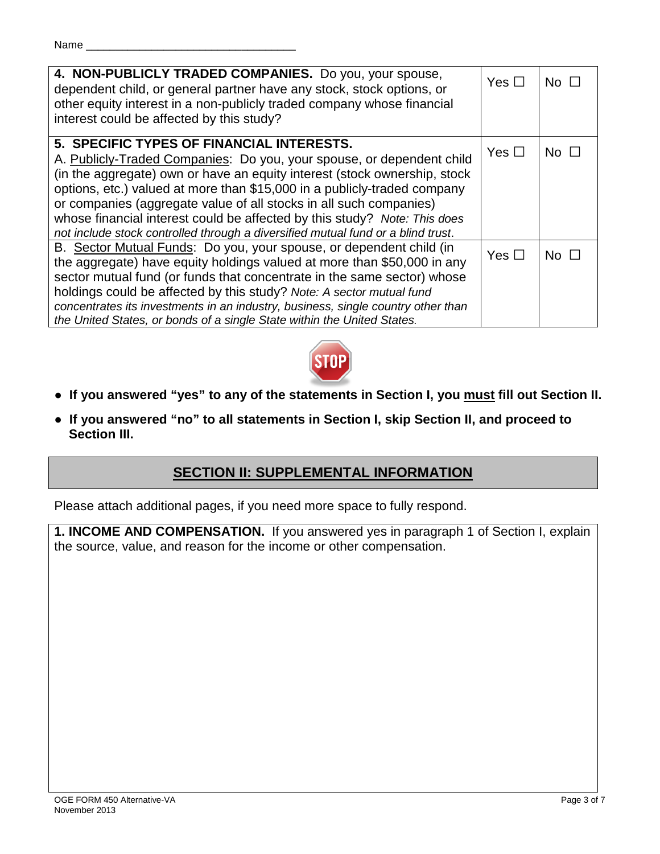### Name

| 4. NON-PUBLICLY TRADED COMPANIES. Do you, your spouse,<br>dependent child, or general partner have any stock, stock options, or<br>other equity interest in a non-publicly traded company whose financial<br>interest could be affected by this study?                                                                                                                                                                                                                                                             | Yes $\Box$ | No $\square$ |
|--------------------------------------------------------------------------------------------------------------------------------------------------------------------------------------------------------------------------------------------------------------------------------------------------------------------------------------------------------------------------------------------------------------------------------------------------------------------------------------------------------------------|------------|--------------|
| 5. SPECIFIC TYPES OF FINANCIAL INTERESTS.<br>A. Publicly-Traded Companies: Do you, your spouse, or dependent child<br>(in the aggregate) own or have an equity interest (stock ownership, stock<br>options, etc.) valued at more than \$15,000 in a publicly-traded company<br>or companies (aggregate value of all stocks in all such companies)<br>whose financial interest could be affected by this study? Note: This does<br>not include stock controlled through a diversified mutual fund or a blind trust. | Yes $\Box$ | No $\square$ |
| B. Sector Mutual Funds: Do you, your spouse, or dependent child (in<br>the aggregate) have equity holdings valued at more than \$50,000 in any<br>sector mutual fund (or funds that concentrate in the same sector) whose<br>holdings could be affected by this study? Note: A sector mutual fund<br>concentrates its investments in an industry, business, single country other than<br>the United States, or bonds of a single State within the United States.                                                   | Yes $\Box$ | No $\square$ |



- **If you answered "yes" to any of the statements in Section I, you must fill out Section II.**
- **If you answered "no" to all statements in Section I, skip Section II, and proceed to Section III.**

# **SECTION II: SUPPLEMENTAL INFORMATION**

Please attach additional pages, if you need more space to fully respond.

**1. INCOME AND COMPENSATION.** If you answered yes in paragraph 1 of Section I, explain the source, value, and reason for the income or other compensation.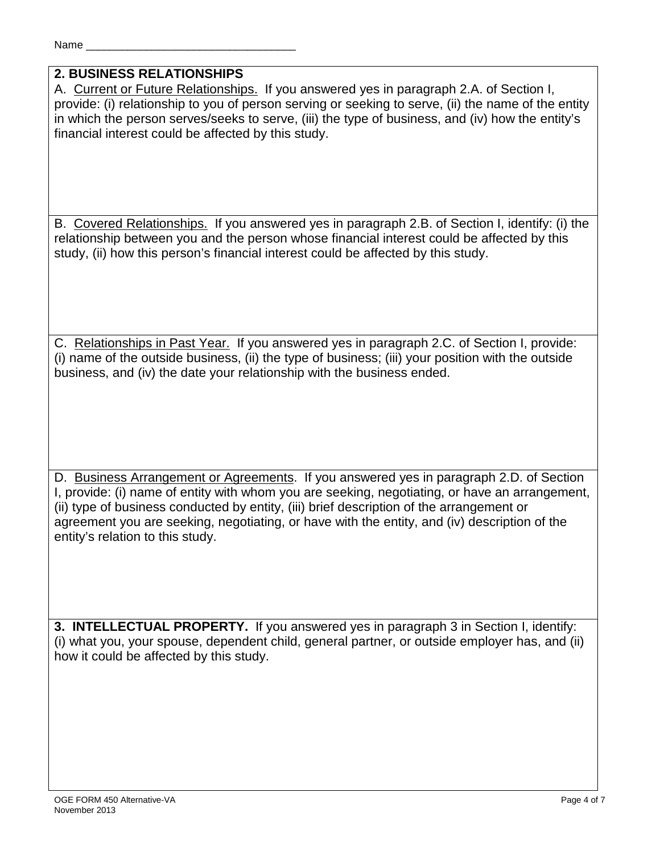# **2. BUSINESS RELATIONSHIPS**

A. Current or Future Relationships. If you answered yes in paragraph 2.A. of Section I, provide: (i) relationship to you of person serving or seeking to serve, (ii) the name of the entity in which the person serves/seeks to serve, (iii) the type of business, and (iv) how the entity's financial interest could be affected by this study.

B. Covered Relationships. If you answered yes in paragraph 2.B. of Section I, identify: (i) the relationship between you and the person whose financial interest could be affected by this study, (ii) how this person's financial interest could be affected by this study.

C. Relationships in Past Year. If you answered yes in paragraph 2.C. of Section I, provide: (i) name of the outside business, (ii) the type of business; (iii) your position with the outside business, and (iv) the date your relationship with the business ended.

D. Business Arrangement or Agreements. If you answered yes in paragraph 2.D. of Section I, provide: (i) name of entity with whom you are seeking, negotiating, or have an arrangement, (ii) type of business conducted by entity, (iii) brief description of the arrangement or agreement you are seeking, negotiating, or have with the entity, and (iv) description of the entity's relation to this study.

**3. INTELLECTUAL PROPERTY.** If you answered yes in paragraph 3 in Section I, identify: (i) what you, your spouse, dependent child, general partner, or outside employer has, and (ii) how it could be affected by this study.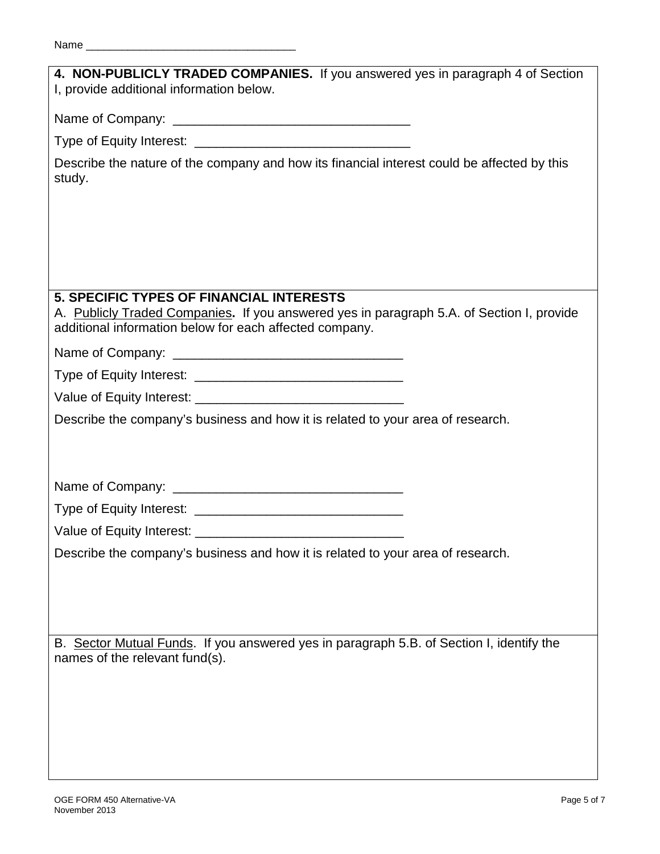| 4. NON-PUBLICLY TRADED COMPANIES. If you answered yes in paragraph 4 of Section<br>I, provide additional information below.                                                                             |
|---------------------------------------------------------------------------------------------------------------------------------------------------------------------------------------------------------|
|                                                                                                                                                                                                         |
|                                                                                                                                                                                                         |
| Describe the nature of the company and how its financial interest could be affected by this<br>study.                                                                                                   |
|                                                                                                                                                                                                         |
|                                                                                                                                                                                                         |
|                                                                                                                                                                                                         |
| <b>5. SPECIFIC TYPES OF FINANCIAL INTERESTS</b><br>A. Publicly Traded Companies. If you answered yes in paragraph 5.A. of Section I, provide<br>additional information below for each affected company. |
|                                                                                                                                                                                                         |
|                                                                                                                                                                                                         |
|                                                                                                                                                                                                         |
| Describe the company's business and how it is related to your area of research.                                                                                                                         |
|                                                                                                                                                                                                         |
|                                                                                                                                                                                                         |
|                                                                                                                                                                                                         |
|                                                                                                                                                                                                         |
|                                                                                                                                                                                                         |
| Describe the company's business and how it is related to your area of research.                                                                                                                         |
|                                                                                                                                                                                                         |
|                                                                                                                                                                                                         |
|                                                                                                                                                                                                         |
| B. Sector Mutual Funds. If you answered yes in paragraph 5.B. of Section I, identify the<br>names of the relevant fund(s).                                                                              |
|                                                                                                                                                                                                         |
|                                                                                                                                                                                                         |
|                                                                                                                                                                                                         |
|                                                                                                                                                                                                         |
|                                                                                                                                                                                                         |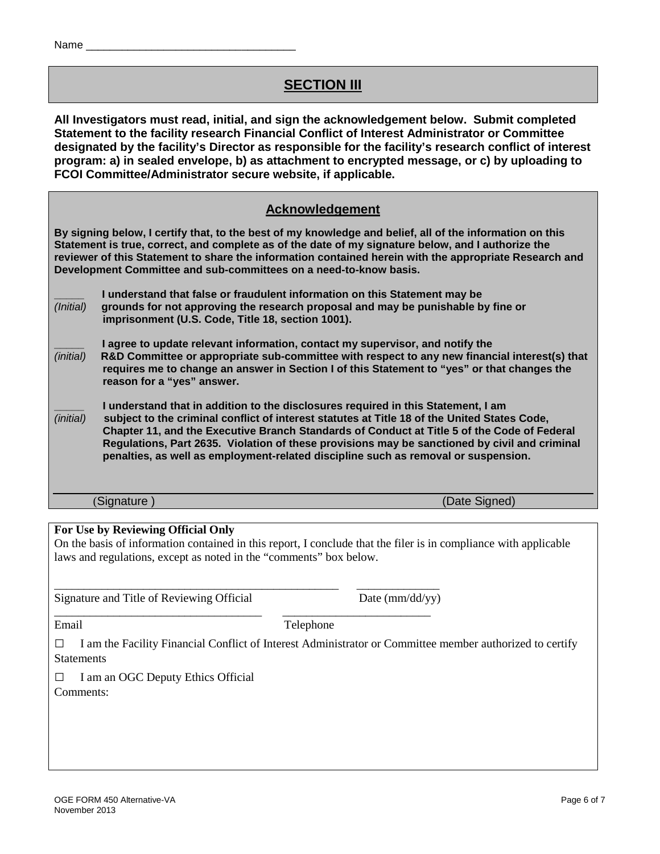# **SECTION III**

**All Investigators must read, initial, and sign the acknowledgement below. Submit completed Statement to the facility research Financial Conflict of Interest Administrator or Committee designated by the facility's Director as responsible for the facility's research conflict of interest program: a) in sealed envelope, b) as attachment to encrypted message, or c) by uploading to FCOI Committee/Administrator secure website, if applicable.**

## **Acknowledgement**

**By signing below, I certify that, to the best of my knowledge and belief, all of the information on this Statement is true, correct, and complete as of the date of my signature below, and I authorize the reviewer of this Statement to share the information contained herein with the appropriate Research and Development Committee and sub-committees on a need-to-know basis.** 

|           | I understand that false or fraudulent information on this Statement may be       |
|-----------|----------------------------------------------------------------------------------|
| (Initial) | grounds for not approving the research proposal and may be punishable by fine or |
|           | imprisonment (U.S. Code, Title 18, section 1001).                                |

**I agree to update relevant information, contact my supervisor, and notify the**<br>(initial) R&D Committee or appropriate sub-committee with respect to any new financ *(initial)* **R&D Committee or appropriate sub-committee with respect to any new financial interest(s) that requires me to change an answer in Section I of this Statement to "yes" or that changes the reason for a "yes" answer.** 

**\_\_\_\_\_ I understand that in addition to the disclosures required in this Statement, I am**  *(initial)* **subject to the criminal conflict of interest statutes at Title 18 of the United States Code, Chapter 11, and the Executive Branch Standards of Conduct at Title 5 of the Code of Federal Regulations, Part 2635. Violation of these provisions may be sanctioned by civil and criminal penalties, as well as employment-related discipline such as removal or suspension.** 

(Signature ) (Date Signed)

#### **For Use by Reviewing Official Only**

On the basis of information contained in this report, I conclude that the filer is in compliance with applicable laws and regulations, except as noted in the "comments" box below.

\_\_\_\_\_\_\_\_\_\_\_\_\_\_\_\_\_\_\_\_\_\_\_\_\_\_\_\_\_\_\_\_\_\_\_\_\_\_\_\_\_\_\_\_\_\_\_\_ \_\_\_\_\_\_\_\_\_\_\_\_\_\_ Signature and Title of Reviewing Official Date (mm/dd/yy)

Email Telephone

\_\_\_\_\_\_\_\_\_\_\_\_\_\_\_\_\_\_\_\_\_\_\_\_\_\_\_\_\_\_\_\_\_\_\_ \_\_\_\_\_\_\_\_\_\_\_\_\_\_\_\_\_\_\_\_\_\_\_\_\_

**□** I am the Facility Financial Conflict of Interest Administrator or Committee member authorized to certify **Statements** 

**□** I am an OGC Deputy Ethics Official

Comments: